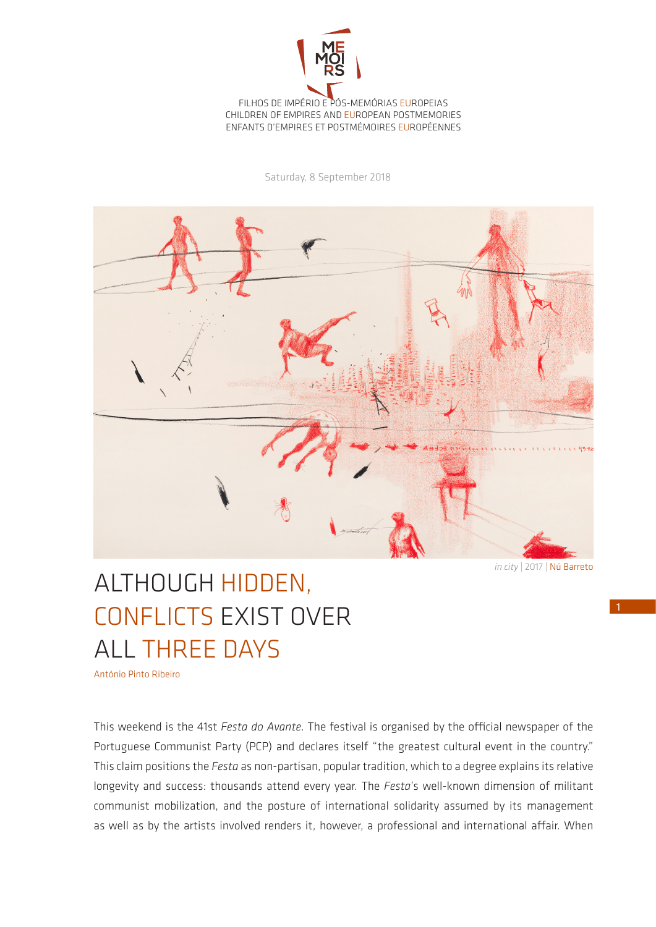

Saturday, 8 September 2018



*in city* | 2017 | Nú Barreto

## ALTHOUGH HIDDEN, CONFLICTS EXIST OVER ALL THREE DAYS

António Pinto Ribeiro

This weekend is the 41st *Festa do Avante*. The festival is organised by the official newspaper of the Portuguese Communist Party (PCP) and declares itself "the greatest cultural event in the country." This claim positions the *Festa* as non-partisan, popular tradition, which to a degree explains its relative longevity and success: thousands attend every year. The *Festa*'s well-known dimension of militant communist mobilization, and the posture of international solidarity assumed by its management as well as by the artists involved renders it, however, a professional and international affair. When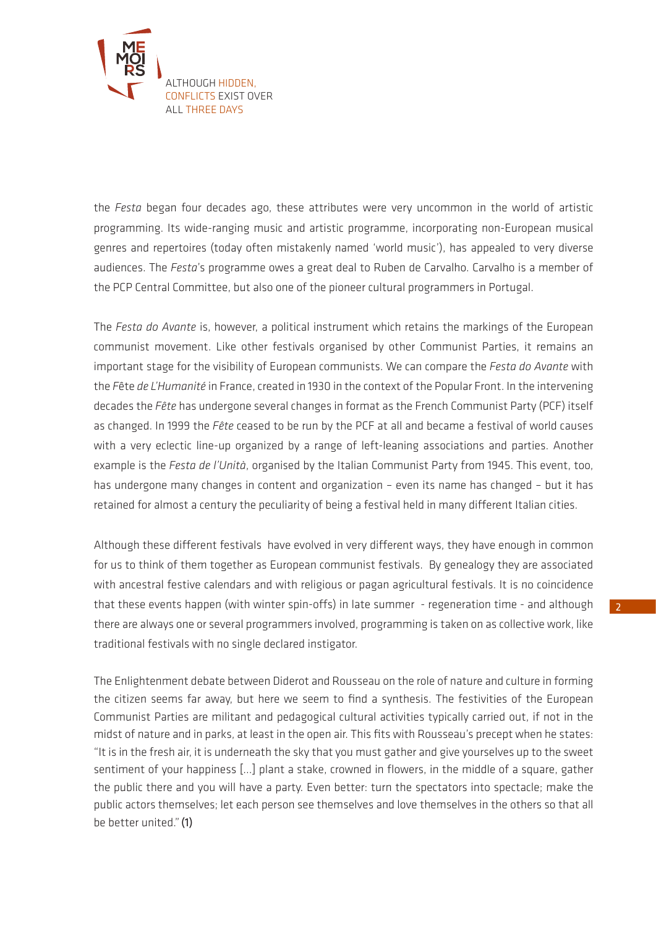

the *Festa* began four decades ago, these attributes were very uncommon in the world of artistic programming. Its wide-ranging music and artistic programme, incorporating non-European musical genres and repertoires (today often mistakenly named 'world music'), has appealed to very diverse audiences. The *Festa*'s programme owes a great deal to Ruben de Carvalho. Carvalho is a member of the PCP Central Committee, but also one of the pioneer cultural programmers in Portugal.

The *Festa do Avante* is, however, a political instrument which retains the markings of the European communist movement. Like other festivals organised by other Communist Parties, it remains an important stage for the visibility of European communists. We can compare the *Festa do Avante* with the *F*ête *de L'Humanité* in France, created in 1930 in the context of the Popular Front. In the intervening decades the *Fête* has undergone several changes in format as the French Communist Party (PCF) itself as changed. In 1999 the *Fête* ceased to be run by the PCF at all and became a festival of world causes with a very eclectic line-up organized by a range of left-leaning associations and parties. Another example is the *Festa de l'Unità*, organised by the Italian Communist Party from 1945. This event, too, has undergone many changes in content and organization – even its name has changed – but it has retained for almost a century the peculiarity of being a festival held in many different Italian cities.

Although these different festivals have evolved in very different ways, they have enough in common for us to think of them together as European communist festivals. By genealogy they are associated with ancestral festive calendars and with religious or pagan agricultural festivals. It is no coincidence that these events happen (with winter spin-offs) in late summer - regeneration time - and although there are always one or several programmers involved, programming is taken on as collective work, like traditional festivals with no single declared instigator.

The Enlightenment debate between Diderot and Rousseau on the role of nature and culture in forming the citizen seems far away, but here we seem to find a synthesis. The festivities of the European Communist Parties are militant and pedagogical cultural activities typically carried out, if not in the midst of nature and in parks, at least in the open air. This fits with Rousseau's precept when he states: "It is in the fresh air, it is underneath the sky that you must gather and give yourselves up to the sweet sentiment of your happiness [...] plant a stake, crowned in flowers, in the middle of a square, gather the public there and you will have a party. Even better: turn the spectators into spectacle; make the public actors themselves; let each person see themselves and love themselves in the others so that all be better united."(1)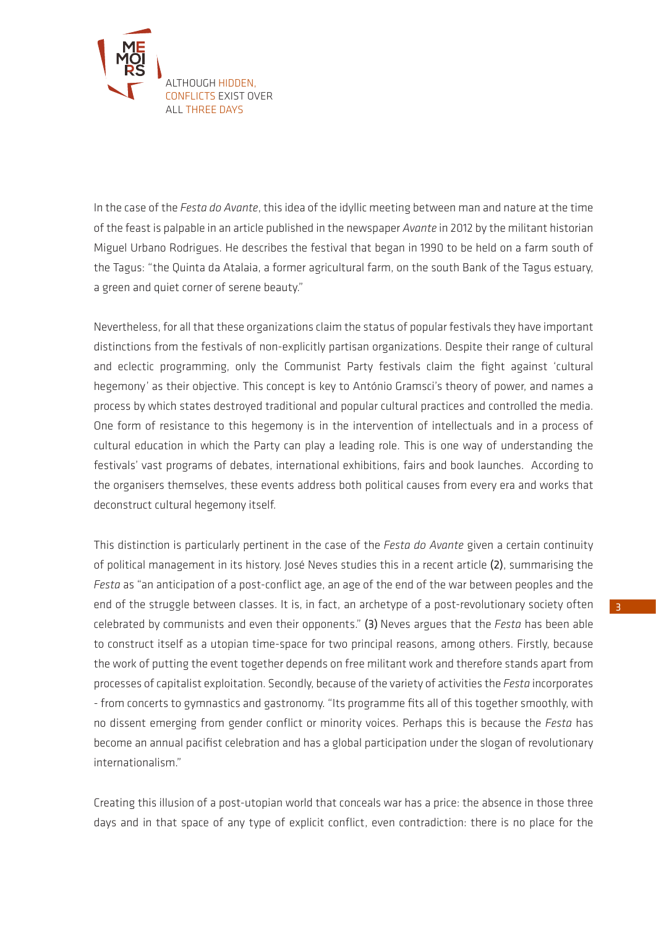

In the case of the *Festa do Avante*, this idea of the idyllic meeting between man and nature at the time of the feast is palpable in an article published in the newspaper *Avante* in 2012 by the militant historian Miguel Urbano Rodrigues. He describes the festival that began in 1990 to be held on a farm south of the Tagus: "the Quinta da Atalaia, a former agricultural farm, on the south Bank of the Tagus estuary, a green and quiet corner of serene beauty."

Nevertheless, for all that these organizations claim the status of popular festivals they have important distinctions from the festivals of non-explicitly partisan organizations. Despite their range of cultural and eclectic programming, only the Communist Party festivals claim the fight against 'cultural hegemony' as their objective. This concept is key to António Gramsci's theory of power, and names a process by which states destroyed traditional and popular cultural practices and controlled the media. One form of resistance to this hegemony is in the intervention of intellectuals and in a process of cultural education in which the Party can play a leading role. This is one way of understanding the festivals' vast programs of debates, international exhibitions, fairs and book launches. According to the organisers themselves, these events address both political causes from every era and works that deconstruct cultural hegemony itself.

This distinction is particularly pertinent in the case of the *Festa do Avante* given a certain continuity of political management in its history. José Neves studies this in a recent article (2), summarising the *Festa* as "an anticipation of a post-conflict age, an age of the end of the war between peoples and the end of the struggle between classes. It is, in fact, an archetype of a post-revolutionary society often celebrated by communists and even their opponents." (3) Neves argues that the *Festa* has been able to construct itself as a utopian time-space for two principal reasons, among others. Firstly, because the work of putting the event together depends on free militant work and therefore stands apart from processes of capitalist exploitation. Secondly, because of the variety of activities the *Festa* incorporates - from concerts to gymnastics and gastronomy. "Its programme fits all of this together smoothly, with no dissent emerging from gender conflict or minority voices. Perhaps this is because the *Festa* has become an annual pacifist celebration and has a global participation under the slogan of revolutionary internationalism."

Creating this illusion of a post-utopian world that conceals war has a price: the absence in those three days and in that space of any type of explicit conflict, even contradiction: there is no place for the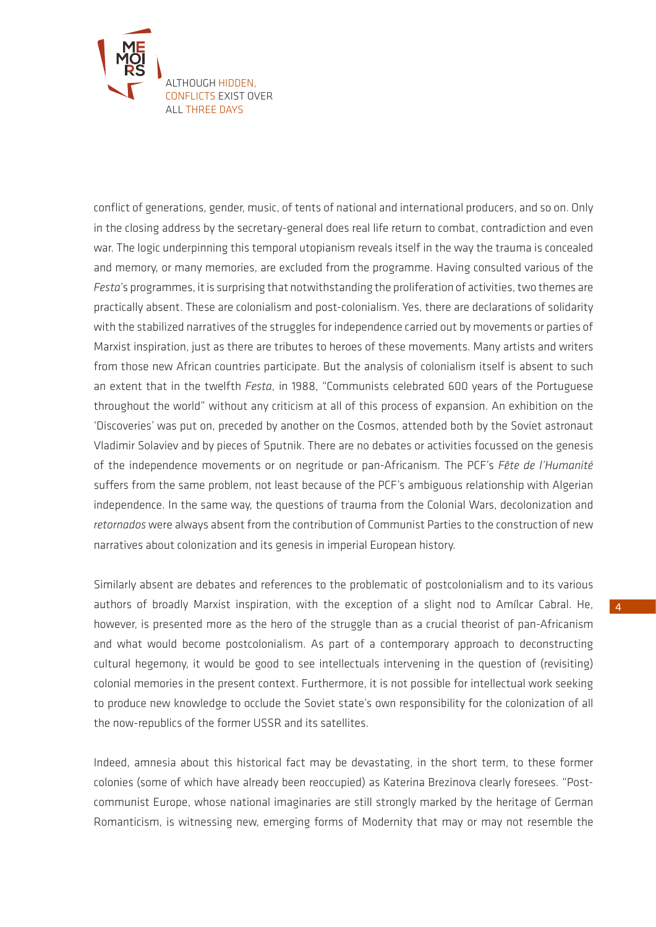

conflict of generations, gender, music, of tents of national and international producers, and so on. Only in the closing address by the secretary-general does real life return to combat, contradiction and even war. The logic underpinning this temporal utopianism reveals itself in the way the trauma is concealed and memory, or many memories, are excluded from the programme. Having consulted various of the *Festa*'s programmes, it is surprising that notwithstanding the proliferation of activities, two themes are practically absent. These are colonialism and post-colonialism. Yes, there are declarations of solidarity with the stabilized narratives of the struggles for independence carried out by movements or parties of Marxist inspiration, just as there are tributes to heroes of these movements. Many artists and writers from those new African countries participate. But the analysis of colonialism itself is absent to such an extent that in the twelfth *Festa*, in 1988, "Communists celebrated 600 years of the Portuguese throughout the world" without any criticism at all of this process of expansion. An exhibition on the 'Discoveries' was put on, preceded by another on the Cosmos, attended both by the Soviet astronaut Vladimir Solaviev and by pieces of Sputnik. There are no debates or activities focussed on the genesis of the independence movements or on negritude or pan-Africanism. The PCF's *Fête de l'Humanité* suffers from the same problem, not least because of the PCF's ambiguous relationship with Algerian independence. In the same way, the questions of trauma from the Colonial Wars, decolonization and *retornados* were always absent from the contribution of Communist Parties to the construction of new narratives about colonization and its genesis in imperial European history.

Similarly absent are debates and references to the problematic of postcolonialism and to its various authors of broadly Marxist inspiration, with the exception of a slight nod to Amílcar Cabral. He, however, is presented more as the hero of the struggle than as a crucial theorist of pan-Africanism and what would become postcolonialism. As part of a contemporary approach to deconstructing cultural hegemony, it would be good to see intellectuals intervening in the question of (revisiting) colonial memories in the present context. Furthermore, it is not possible for intellectual work seeking to produce new knowledge to occlude the Soviet state's own responsibility for the colonization of all the now-republics of the former USSR and its satellites.

Indeed, amnesia about this historical fact may be devastating, in the short term, to these former colonies (some of which have already been reoccupied) as Katerina Brezinova clearly foresees. "Postcommunist Europe, whose national imaginaries are still strongly marked by the heritage of German Romanticism, is witnessing new, emerging forms of Modernity that may or may not resemble the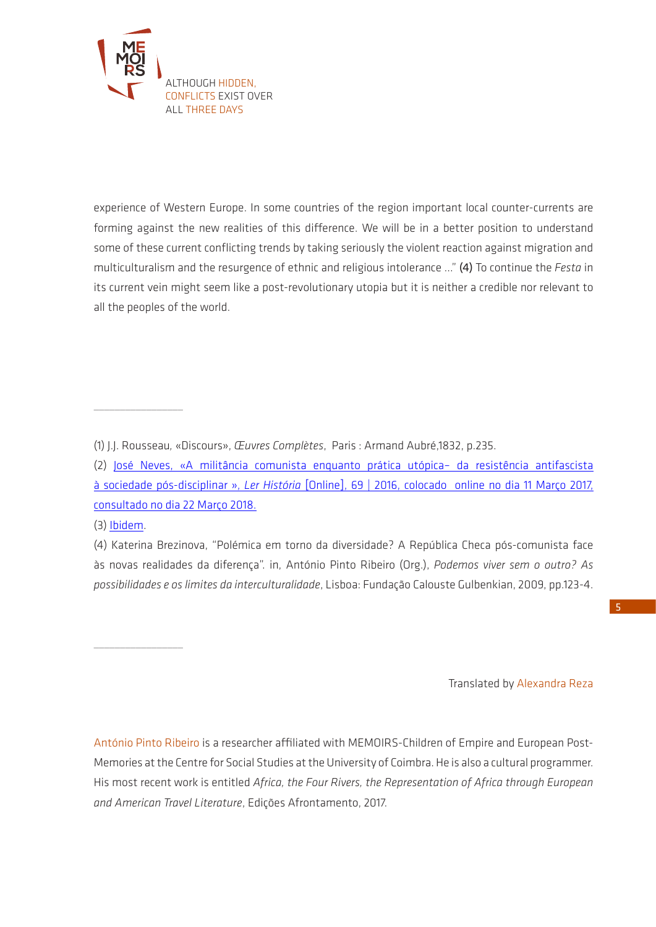

experience of Western Europe. In some countries of the region important local counter-currents are forming against the new realities of this difference. We will be in a better position to understand some of these current conflicting trends by taking seriously the violent reaction against migration and multiculturalism and the resurgence of ethnic and religious intolerance ..." (4) To continue the *Festa* in its current vein might seem like a post-revolutionary utopia but it is neither a credible nor relevant to all the peoples of the world.

(3) [Ibidem](http://journals.openedition.org/lerhistoria/2317).

 $\overline{\phantom{a}}$  , where  $\overline{\phantom{a}}$ 

 $\overline{\phantom{a}}$  , where  $\overline{\phantom{a}}$ 

(4) Katerina Brezinova, "Polémica em torno da diversidade? A República Checa pós-comunista face às novas realidades da diferença". in, António Pinto Ribeiro (Org.), *Podemos viver sem o outro? As possibilidades e os limites da interculturalidade*, Lisboa: Fundação Calouste Gulbenkian, 2009, pp.123-4.

Translated by Alexandra Reza

António Pinto Ribeiro is a researcher affiliated with MEMOIRS-Children of Empire and European Post-Memories at the Centre for Social Studies at the University of Coimbra. He is also a cultural programmer. His most recent work is entitled *Africa, the Four Rivers, the Representation of Africa through European and American Travel Literature*, Edições Afrontamento, 2017.

<sup>(1)</sup> J.J. Rousseau*,* «Discours», *Œuvres Complètes*, Paris : Armand Aubré,1832, p.235.

<sup>(2)</sup> [José Neves, «A militância comunista enquanto prática utópica– da resistência antifascista](http://journals.openedition.org/lerhistoria/2317)  à sociedade pós-disciplinar », *Ler História* [\[Online\], 69 | 2016, colocado online no dia 11 Março 2017,](http://journals.openedition.org/lerhistoria/2317)  [consultado no dia 22 Março 2018.](http://journals.openedition.org/lerhistoria/2317)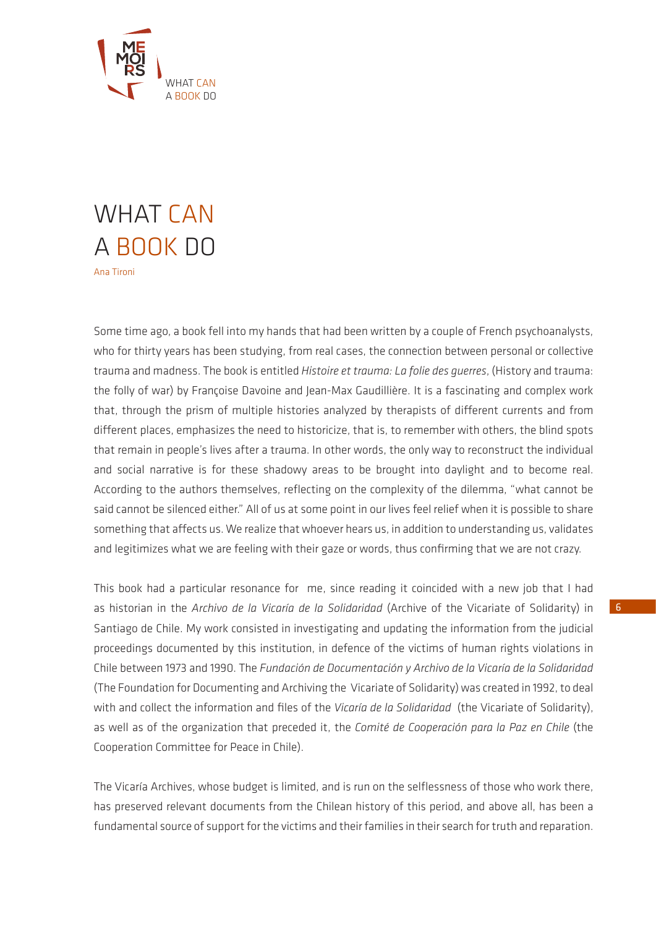

## WHAT CAN A BOOK DO

Some time ago, a book fell into my hands that had been written by a couple of French psychoanalysts, who for thirty years has been studying, from real cases, the connection between personal or collective trauma and madness. The book is entitled *Histoire et trauma: La folie des guerres*, (History and trauma: the folly of war) by Françoise Davoine and Jean-Max Gaudillière. It is a fascinating and complex work that, through the prism of multiple histories analyzed by therapists of different currents and from different places, emphasizes the need to historicize, that is, to remember with others, the blind spots that remain in people's lives after a trauma. In other words, the only way to reconstruct the individual and social narrative is for these shadowy areas to be brought into daylight and to become real. According to the authors themselves, reflecting on the complexity of the dilemma, "what cannot be said cannot be silenced either." All of us at some point in our lives feel relief when it is possible to share something that affects us. We realize that whoever hears us, in addition to understanding us, validates and legitimizes what we are feeling with their gaze or words, thus confirming that we are not crazy.

This book had a particular resonance for me, since reading it coincided with a new job that I had as historian in the *Archivo de la Vicaría de la Solidaridad* (Archive of the Vicariate of Solidarity) in Santiago de Chile. My work consisted in investigating and updating the information from the judicial proceedings documented by this institution, in defence of the victims of human rights violations in Chile between 1973 and 1990. The *Fundación de Documentación y Archivo de la Vicaría de la Solidaridad* (The Foundation for Documenting and Archiving the Vicariate of Solidarity) was created in 1992, to deal with and collect the information and files of the *Vicaría de la Solidaridad* (the Vicariate of Solidarity), as well as of the organization that preceded it, the *Comité de Cooperación para la Paz en Chile* (the Cooperation Committee for Peace in Chile).

The Vicaría Archives, whose budget is limited, and is run on the selflessness of those who work there, has preserved relevant documents from the Chilean history of this period, and above all, has been a fundamental source of support for the victims and their families in their search for truth and reparation.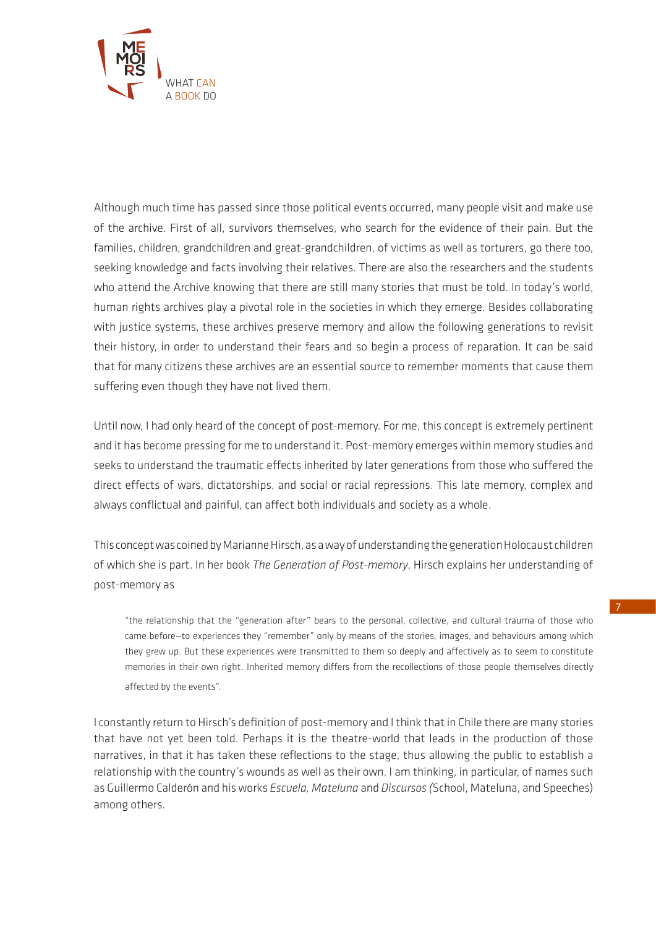

Although much time has passed since those political events occurred, many people visit and make use of the archive. First of all, survivors themselves, who search for the evidence of their pain. But the families, children, grandchildren and great-grandchildren, of victims as well as torturers, go there too, seeking knowledge and facts involving their relatives. There are also the researchers and the students who attend the Archive knowing that there are still many stories that must be told. In today's world, human rights archives play a pivotal role in the societies in which they emerge. Besides collaborating with justice systems, these archives preserve memory and allow the following generations to revisit their history, in order to understand their fears and so begin a process of reparation. It can be said that for many citizens these archives are an essential source to remember moments that cause them suffering even though they have not lived them.

Until now, I had only heard of the concept of post-memory. For me, this concept is extremely pertinent and it has become pressing for me to understand it. Post-memory emerges within memory studies and seeks to understand the traumatic effects inherited by later generations from those who suffered the direct effects of wars, dictatorships, and social or racial repressions. This late memory, complex and always conflictual and painful, can affect both individuals and society as a whole.

This concept was coined by Marianne Hirsch, as a way of understanding the generation Holocaust children of which she is part. In her book *The Generation of Post-memory*, Hirsch explains her understanding of post-memory as

"the relationship that the "generation after" bears to the personal, collective, and cultural trauma of those who came before—to experiences they "remember" only by means of the stories, images, and behaviours among which they grew up. But these experiences were transmitted to them so deeply and affectively as to seem to constitute memories in their own right. Inherited memory differs from the recollections of those people themselves directly affected by the events".

I constantly return to Hirsch's definition of post-memory and I think that in Chile there are many stories that have not yet been told. Perhaps it is the theatre-world that leads in the production of those narratives, in that it has taken these reflections to the stage, thus allowing the public to establish a relationship with the country's wounds as well as their own. I am thinking, in particular, of names such as Guillermo Calderón and his works *Escuela, Mateluna* and *Discursos (*School, Mateluna, and Speeches) among others.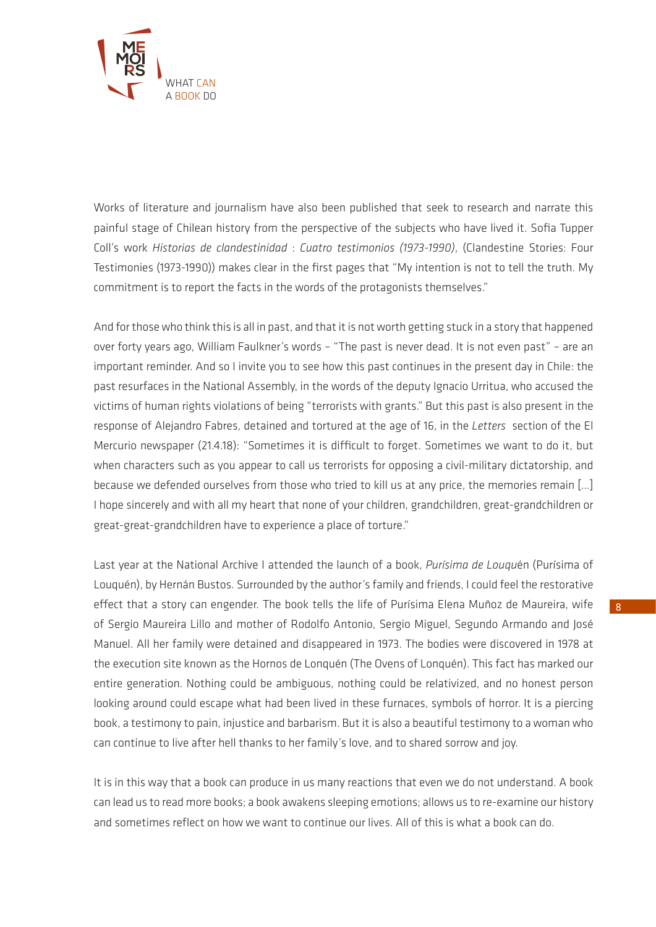

Works of literature and journalism have also been published that seek to research and narrate this painful stage of Chilean history from the perspective of the subjects who have lived it. Sofia Tupper Coll's work *Historias de clandestinidad* : *Cuatro testimonios (1973-1990)*, (Clandestine Stories: Four Testimonies (1973-1990)) makes clear in the first pages that "My intention is not to tell the truth. My commitment is to report the facts in the words of the protagonists themselves."

And for those who think this is all in past, and that it is not worth getting stuck in a story that happened over forty years ago, William Faulkner's words – "The past is never dead. It is not even past" – are an important reminder. And so I invite you to see how this past continues in the present day in Chile: the past resurfaces in the National Assembly, in the words of the deputy Ignacio Urritua, who accused the victims of human rights violations of being "terrorists with grants." But this past is also present in the response of Alejandro Fabres, detained and tortured at the age of 16, in the *Letters* section of the El Mercurio newspaper (21.4.18): "Sometimes it is difficult to forget. Sometimes we want to do it, but when characters such as you appear to call us terrorists for opposing a civil-military dictatorship, and because we defended ourselves from those who tried to kill us at any price, the memories remain […] I hope sincerely and with all my heart that none of your children, grandchildren, great-grandchildren or great-great-grandchildren have to experience a place of torture."

Last year at the National Archive I attended the launch of a book, *Purísima de Louqu*én (Purísima of Louquén), by Hernán Bustos. Surrounded by the author's family and friends, I could feel the restorative effect that a story can engender. The book tells the life of Purísima Elena Muñoz de Maureira, wife of Sergio Maureira Lillo and mother of Rodolfo Antonio, Sergio Miguel, Segundo Armando and José Manuel. All her family were detained and disappeared in 1973. The bodies were discovered in 1978 at the execution site known as the Hornos de Lonquén (The Ovens of Lonquén). This fact has marked our entire generation. Nothing could be ambiguous, nothing could be relativized, and no honest person looking around could escape what had been lived in these furnaces, symbols of horror. It is a piercing book, a testimony to pain, injustice and barbarism. But it is also a beautiful testimony to a woman who can continue to live after hell thanks to her family's love, and to shared sorrow and joy.

It is in this way that a book can produce in us many reactions that even we do not understand. A book can lead us to read more books; a book awakens sleeping emotions; allows us to re-examine our history and sometimes reflect on how we want to continue our lives. All of this is what a book can do.